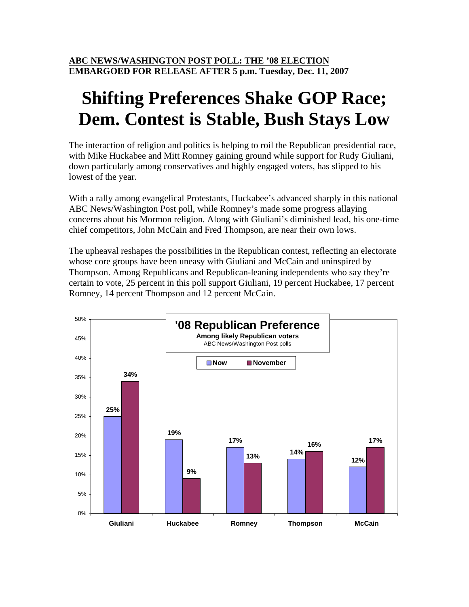# **Shifting Preferences Shake GOP Race; Dem. Contest is Stable, Bush Stays Low**

The interaction of religion and politics is helping to roil the Republican presidential race, with Mike Huckabee and Mitt Romney gaining ground while support for Rudy Giuliani, down particularly among conservatives and highly engaged voters, has slipped to his lowest of the year.

With a rally among evangelical Protestants, Huckabee's advanced sharply in this national ABC News/Washington Post poll, while Romney's made some progress allaying concerns about his Mormon religion. Along with Giuliani's diminished lead, his one-time chief competitors, John McCain and Fred Thompson, are near their own lows.

The upheaval reshapes the possibilities in the Republican contest, reflecting an electorate whose core groups have been uneasy with Giuliani and McCain and uninspired by Thompson. Among Republicans and Republican-leaning independents who say they're certain to vote, 25 percent in this poll support Giuliani, 19 percent Huckabee, 17 percent Romney, 14 percent Thompson and 12 percent McCain.

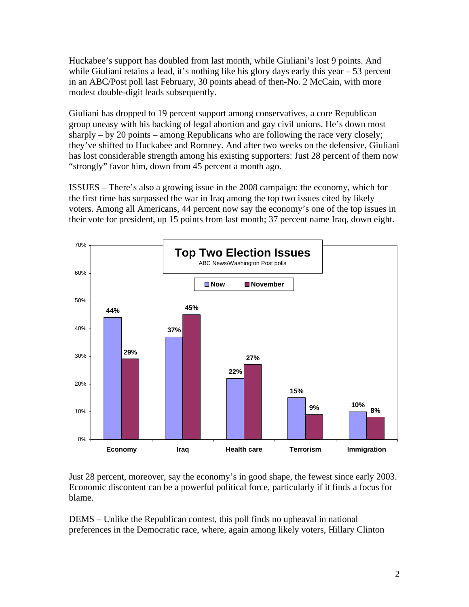Huckabee's support has doubled from last month, while Giuliani's lost 9 points. And while Giuliani retains a lead, it's nothing like his glory days early this year – 53 percent in an ABC/Post poll last February, 30 points ahead of then-No. 2 McCain, with more modest double-digit leads subsequently.

Giuliani has dropped to 19 percent support among conservatives, a core Republican group uneasy with his backing of legal abortion and gay civil unions. He's down most sharply – by 20 points – among Republicans who are following the race very closely; they've shifted to Huckabee and Romney. And after two weeks on the defensive, Giuliani has lost considerable strength among his existing supporters: Just 28 percent of them now "strongly" favor him, down from 45 percent a month ago.

ISSUES – There's also a growing issue in the 2008 campaign: the economy, which for the first time has surpassed the war in Iraq among the top two issues cited by likely voters. Among all Americans, 44 percent now say the economy's one of the top issues in their vote for president, up 15 points from last month; 37 percent name Iraq, down eight.



Just 28 percent, moreover, say the economy's in good shape, the fewest since early 2003. Economic discontent can be a powerful political force, particularly if it finds a focus for blame.

DEMS – Unlike the Republican contest, this poll finds no upheaval in national preferences in the Democratic race, where, again among likely voters, Hillary Clinton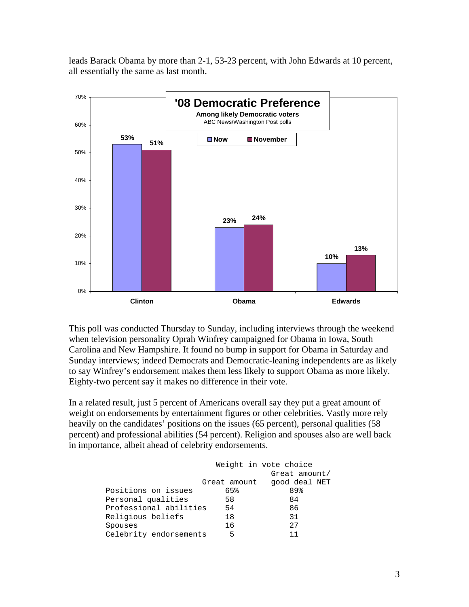leads Barack Obama by more than 2-1, 53-23 percent, with John Edwards at 10 percent, all essentially the same as last month.



This poll was conducted Thursday to Sunday, including interviews through the weekend when television personality Oprah Winfrey campaigned for Obama in Iowa, South Carolina and New Hampshire. It found no bump in support for Obama in Saturday and Sunday interviews; indeed Democrats and Democratic-leaning independents are as likely to say Winfrey's endorsement makes them less likely to support Obama as more likely. Eighty-two percent say it makes no difference in their vote.

In a related result, just 5 percent of Americans overall say they put a great amount of weight on endorsements by entertainment figures or other celebrities. Vastly more rely heavily on the candidates' positions on the issues (65 percent), personal qualities (58 percent) and professional abilities (54 percent). Religion and spouses also are well back in importance, albeit ahead of celebrity endorsements.

|                        |              | Weight in vote choice |
|------------------------|--------------|-----------------------|
|                        |              | Great amount/         |
|                        | Great amount | good deal NET         |
| Positions on issues    | 65%          | 89%                   |
| Personal qualities     | 58           | 84                    |
| Professional abilities | 54           | 86                    |
| Religious beliefs      | 18           | 31                    |
| Spouses                | 16           | 2.7                   |
| Celebrity endorsements | 5            |                       |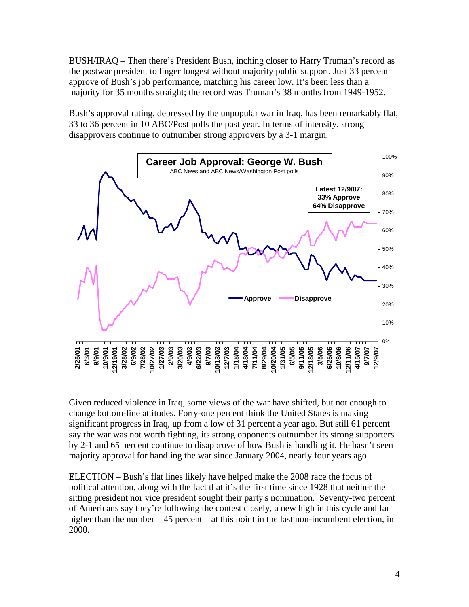BUSH/IRAQ – Then there's President Bush, inching closer to Harry Truman's record as the postwar president to linger longest without majority public support. Just 33 percent approve of Bush's job performance, matching his career low. It's been less than a majority for 35 months straight; the record was Truman's 38 months from 1949-1952.

Bush's approval rating, depressed by the unpopular war in Iraq, has been remarkably flat, 33 to 36 percent in 10 ABC/Post polls the past year. In terms of intensity, strong disapprovers continue to outnumber strong approvers by a 3-1 margin.



Given reduced violence in Iraq, some views of the war have shifted, but not enough to change bottom-line attitudes. Forty-one percent think the United States is making significant progress in Iraq, up from a low of 31 percent a year ago. But still 61 percent say the war was not worth fighting, its strong opponents outnumber its strong supporters by 2-1 and 65 percent continue to disapprove of how Bush is handling it. He hasn't seen majority approval for handling the war since January 2004, nearly four years ago.

ELECTION – Bush's flat lines likely have helped make the 2008 race the focus of political attention, along with the fact that it's the first time since 1928 that neither the sitting president nor vice president sought their party's nomination. Seventy-two percent of Americans say they're following the contest closely, a new high in this cycle and far higher than the number – 45 percent – at this point in the last non-incumbent election, in 2000.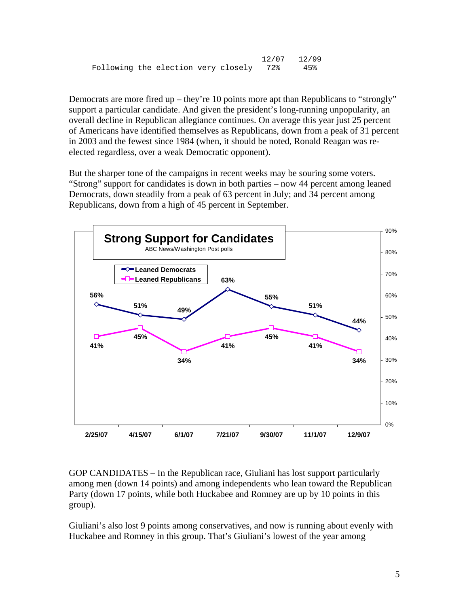```
 12/07 12/99 
Following the election very closely 72% 45%
```
Democrats are more fired up – they're 10 points more apt than Republicans to "strongly" support a particular candidate. And given the president's long-running unpopularity, an overall decline in Republican allegiance continues. On average this year just 25 percent of Americans have identified themselves as Republicans, down from a peak of 31 percent in 2003 and the fewest since 1984 (when, it should be noted, Ronald Reagan was reelected regardless, over a weak Democratic opponent).

But the sharper tone of the campaigns in recent weeks may be souring some voters. "Strong" support for candidates is down in both parties – now 44 percent among leaned Democrats, down steadily from a peak of 63 percent in July; and 34 percent among Republicans, down from a high of 45 percent in September.



GOP CANDIDATES – In the Republican race, Giuliani has lost support particularly among men (down 14 points) and among independents who lean toward the Republican Party (down 17 points, while both Huckabee and Romney are up by 10 points in this group).

Giuliani's also lost 9 points among conservatives, and now is running about evenly with Huckabee and Romney in this group. That's Giuliani's lowest of the year among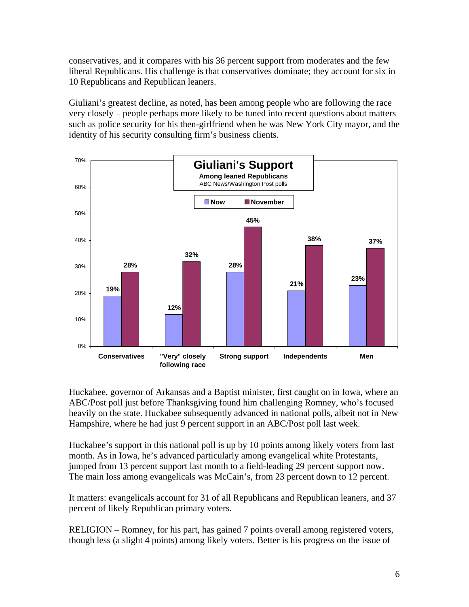conservatives, and it compares with his 36 percent support from moderates and the few liberal Republicans. His challenge is that conservatives dominate; they account for six in 10 Republicans and Republican leaners.

Giuliani's greatest decline, as noted, has been among people who are following the race very closely – people perhaps more likely to be tuned into recent questions about matters such as police security for his then-girlfriend when he was New York City mayor, and the identity of his security consulting firm's business clients.



Huckabee, governor of Arkansas and a Baptist minister, first caught on in Iowa, where an ABC/Post poll just before Thanksgiving found him challenging Romney, who's focused heavily on the state. Huckabee subsequently advanced in national polls, albeit not in New Hampshire, where he had just 9 percent support in an ABC/Post poll last week.

Huckabee's support in this national poll is up by 10 points among likely voters from last month. As in Iowa, he's advanced particularly among evangelical white Protestants, jumped from 13 percent support last month to a field-leading 29 percent support now. The main loss among evangelicals was McCain's, from 23 percent down to 12 percent.

It matters: evangelicals account for 31 of all Republicans and Republican leaners, and 37 percent of likely Republican primary voters.

RELIGION – Romney, for his part, has gained 7 points overall among registered voters, though less (a slight 4 points) among likely voters. Better is his progress on the issue of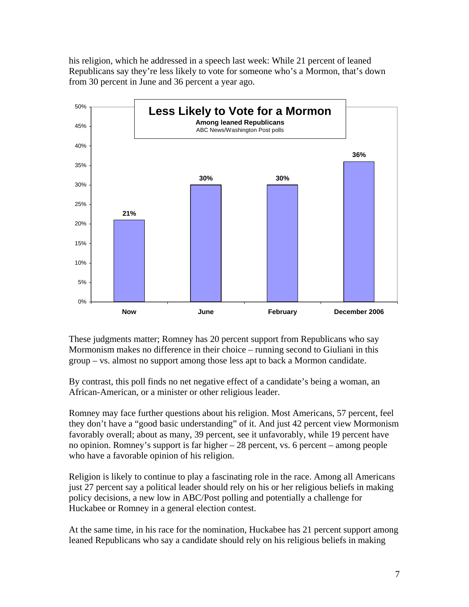his religion, which he addressed in a speech last week: While 21 percent of leaned Republicans say they're less likely to vote for someone who's a Mormon, that's down from 30 percent in June and 36 percent a year ago.



These judgments matter; Romney has 20 percent support from Republicans who say Mormonism makes no difference in their choice – running second to Giuliani in this group – vs. almost no support among those less apt to back a Mormon candidate.

By contrast, this poll finds no net negative effect of a candidate's being a woman, an African-American, or a minister or other religious leader.

Romney may face further questions about his religion. Most Americans, 57 percent, feel they don't have a "good basic understanding" of it. And just 42 percent view Mormonism favorably overall; about as many, 39 percent, see it unfavorably, while 19 percent have no opinion. Romney's support is far higher – 28 percent, vs. 6 percent – among people who have a favorable opinion of his religion.

Religion is likely to continue to play a fascinating role in the race. Among all Americans just 27 percent say a political leader should rely on his or her religious beliefs in making policy decisions, a new low in ABC/Post polling and potentially a challenge for Huckabee or Romney in a general election contest.

At the same time, in his race for the nomination, Huckabee has 21 percent support among leaned Republicans who say a candidate should rely on his religious beliefs in making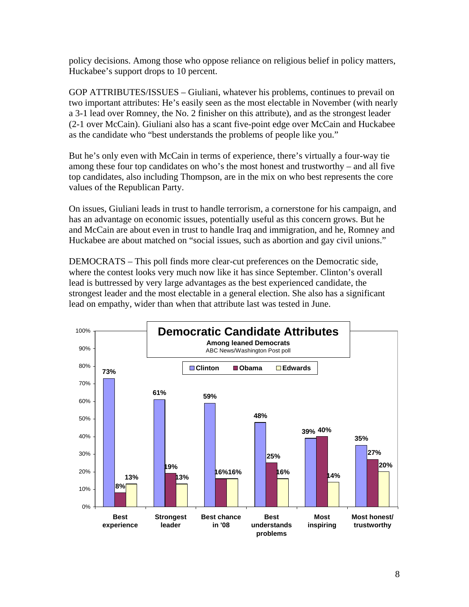policy decisions. Among those who oppose reliance on religious belief in policy matters, Huckabee's support drops to 10 percent.

GOP ATTRIBUTES/ISSUES – Giuliani, whatever his problems, continues to prevail on two important attributes: He's easily seen as the most electable in November (with nearly a 3-1 lead over Romney, the No. 2 finisher on this attribute), and as the strongest leader (2-1 over McCain). Giuliani also has a scant five-point edge over McCain and Huckabee as the candidate who "best understands the problems of people like you."

But he's only even with McCain in terms of experience, there's virtually a four-way tie among these four top candidates on who's the most honest and trustworthy – and all five top candidates, also including Thompson, are in the mix on who best represents the core values of the Republican Party.

On issues, Giuliani leads in trust to handle terrorism, a cornerstone for his campaign, and has an advantage on economic issues, potentially useful as this concern grows. But he and McCain are about even in trust to handle Iraq and immigration, and he, Romney and Huckabee are about matched on "social issues, such as abortion and gay civil unions."

DEMOCRATS – This poll finds more clear-cut preferences on the Democratic side, where the contest looks very much now like it has since September. Clinton's overall lead is buttressed by very large advantages as the best experienced candidate, the strongest leader and the most electable in a general election. She also has a significant lead on empathy, wider than when that attribute last was tested in June.

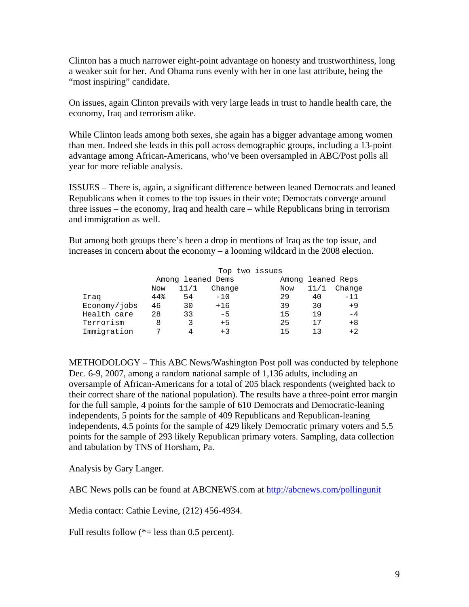Clinton has a much narrower eight-point advantage on honesty and trustworthiness, long a weaker suit for her. And Obama runs evenly with her in one last attribute, being the "most inspiring" candidate.

On issues, again Clinton prevails with very large leads in trust to handle health care, the economy, Iraq and terrorism alike.

While Clinton leads among both sexes, she again has a bigger advantage among women than men. Indeed she leads in this poll across demographic groups, including a 13-point advantage among African-Americans, who've been oversampled in ABC/Post polls all year for more reliable analysis.

ISSUES – There is, again, a significant difference between leaned Democrats and leaned Republicans when it comes to the top issues in their vote; Democrats converge around three issues – the economy, Iraq and health care – while Republicans bring in terrorism and immigration as well.

But among both groups there's been a drop in mentions of Iraq as the top issue, and increases in concern about the economy – a looming wildcard in the 2008 election.

|              |     |      |                   | Top two issues |     |      |                   |
|--------------|-----|------|-------------------|----------------|-----|------|-------------------|
|              |     |      | Among leaned Dems |                |     |      | Among leaned Reps |
|              | Now | 11/1 | Change            |                | Now | 11/1 | Change            |
| Iraq         | 44% | 54   | $-10$             |                | 29  | 40   | $-11$             |
| Economy/jobs | 46  | 30   | $+16$             |                | 39  | 30   | $+9$              |
| Health care  | 28  | 33   | $-5$              |                | 15  | 19   | $-4$              |
| Terrorism    | 8   |      | $+5$              |                | 25  | 17   | $+8$              |
| Immigration  | 7   | Δ    | $+3$              |                | 15  | า ว  | $+2$              |

METHODOLOGY – This ABC News/Washington Post poll was conducted by telephone Dec. 6-9, 2007, among a random national sample of 1,136 adults, including an oversample of African-Americans for a total of 205 black respondents (weighted back to their correct share of the national population). The results have a three-point error margin for the full sample, 4 points for the sample of 610 Democrats and Democratic-leaning independents, 5 points for the sample of 409 Republicans and Republican-leaning independents, 4.5 points for the sample of 429 likely Democratic primary voters and 5.5 points for the sample of 293 likely Republican primary voters. Sampling, data collection and tabulation by TNS of Horsham, Pa.

Analysis by Gary Langer.

ABC News polls can be found at ABCNEWS.com at <http://abcnews.com/pollingunit>

Media contact: Cathie Levine, (212) 456-4934.

Full results follow  $(*=$  less than 0.5 percent).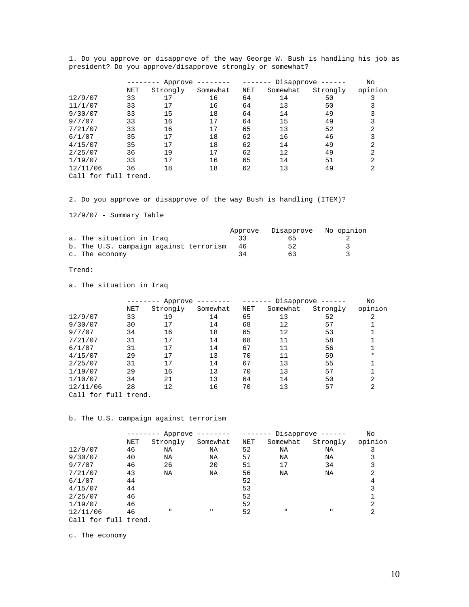|                            |            | Approve<br>--------<br>------- |          |     | Disapprove $---$<br>------- |          |                |
|----------------------------|------------|--------------------------------|----------|-----|-----------------------------|----------|----------------|
|                            | <b>NET</b> | Strongly                       | Somewhat | NET | Somewhat                    | Strongly | opinion        |
| 12/9/07                    | 33         | 17                             | 16       | 64  | 14                          | 50       |                |
| 11/1/07                    | 33         | 17                             | 16       | 64  | 13                          | 50       |                |
| 9/30/07                    | 33         | 15                             | 18       | 64  | 14                          | 49       |                |
| 9/7/07                     | 33         | 16                             | 17       | 64  | 15                          | 49       |                |
| 7/21/07                    | 33         | 16                             | 17       | 65  | 13                          | 52       | 2              |
| 6/1/07                     | 35         | 17                             | 18       | 62  | 16                          | 46       | 3              |
| 4/15/07                    | 35         | 17                             | 18       | 62  | 14                          | 49       | 2              |
| 2/25/07                    | 36         | 19                             | 17       | 62  | 12                          | 49       | 2              |
| 1/19/07                    | 33         | 17                             | 16       | 65  | 14                          | 51       | 2              |
| 12/11/06                   | 36         | 18                             | 18       | 62  | 13                          | 49       | $\overline{2}$ |
| $C = 11$ $C = 11$ $C = 11$ |            |                                |          |     |                             |          |                |

1. Do you approve or disapprove of the way George W. Bush is handling his job as president? Do you approve/disapprove strongly or somewhat?

Call for full trend.

2. Do you approve or disapprove of the way Bush is handling (ITEM)?

12/9/07 - Summary Table

|  |                                        | Approve | Disapprove No opinion |  |
|--|----------------------------------------|---------|-----------------------|--|
|  | a. The situation in Iraq               |         | h h                   |  |
|  | b. The U.S. campaign against terrorism | 46      | 52                    |  |
|  | c. The economy                         | 34      | 63                    |  |

### Trend:

a. The situation in Iraq

|                      | Approve    |          |          | Disapprove $---$<br>------- |          |          |                |
|----------------------|------------|----------|----------|-----------------------------|----------|----------|----------------|
|                      | <b>NET</b> | Strongly | Somewhat | NET                         | Somewhat | Strongly | opinion        |
| 12/9/07              | 33         | 19       | 14       | 65                          | 13       | 52       | 2              |
| 9/30/07              | 30         | 17       | 14       | 68                          | 12       | 57       |                |
| 9/7/07               | 34         | 16       | 18       | 65                          | 12       | 53       |                |
| 7/21/07              | 31         | 17       | 14       | 68                          | 11       | 58       |                |
| 6/1/07               | 31         | 17       | 14       | 67                          | 11       | 56       |                |
| 4/15/07              | 29         | 17       | 13       | 70                          | 11       | 59       | $\star$        |
| 2/25/07              | 31         | 17       | 14       | 67                          | 13       | 55       |                |
| 1/19/07              | 29         | 16       | 13       | 70                          | 13       | 57       |                |
| 1/10/07              | 34         | 21       | 13       | 64                          | 14       | 50       | 2              |
| 12/11/06             | 28         | 12       | 16       | 70                          | 13       | 57       | $\overline{2}$ |
| Call for full trend. |            |          |          |                             |          |          |                |

#### b. The U.S. campaign against terrorism

|                      | Approve |              | ---------    | Disapprove |          |              | No             |
|----------------------|---------|--------------|--------------|------------|----------|--------------|----------------|
|                      | NET     | Strongly     | Somewhat     | NET        | Somewhat | Strongly     | opinion        |
| 12/9/07              | 46      | ΝA           | NA           | 52         | ΝA       | ΝA           |                |
| 9/30/07              | 40      | NA           | NA           | 57         | NA       | ΝA           |                |
| 9/7/07               | 46      | 26           | 20           | 51         | 17       | 34           | 3              |
| 7/21/07              | 43      | ΝA           | ΝA           | 56         | ΝA       | NA           | 2              |
| 6/1/07               | 44      |              |              | 52         |          |              | 4              |
| 4/15/07              | 44      |              |              | 53         |          |              | 3              |
| 2/25/07              | 46      |              |              | 52         |          |              |                |
| 1/19/07              | 46      |              |              | 52         |          |              | 2              |
| 12/11/06             | 46      | $\mathbf{H}$ | $\mathbf{H}$ | 52         | п        | $\mathbf{u}$ | $\overline{2}$ |
| Call for full trend. |         |              |              |            |          |              |                |

c. The economy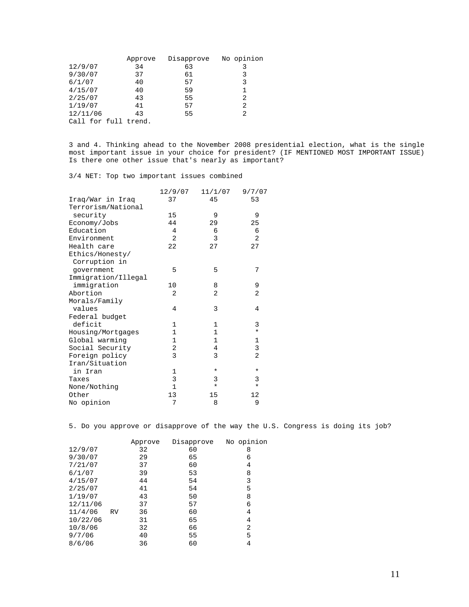|          | Approve              | Disapprove | No opinion |
|----------|----------------------|------------|------------|
| 12/9/07  | 34                   | 63         | 3          |
| 9/30/07  | 37                   | 61         | 3          |
| 6/1/07   | 40                   | 57         | 3          |
| 4/15/07  | 40                   | 59         |            |
| 2/25/07  | 43                   | 55         | 2          |
| 1/19/07  | 41                   | 57         | 2          |
| 12/11/06 | 43                   | 55         | 2          |
|          | Call for full trend. |            |            |

3 and 4. Thinking ahead to the November 2008 presidential election, what is the single most important issue in your choice for president? (IF MENTIONED MOST IMPORTANT ISSUE) Is there one other issue that's nearly as important?

3/4 NET: Top two important issues combined

|                     | 12/9/07      | 11/1/07      | 9/7/07         |
|---------------------|--------------|--------------|----------------|
| Iraq/War in Iraq    | 37           | 45           | 53             |
| Terrorism/National  |              |              |                |
| security            | 15           | 9            | 9              |
| Economy/Jobs        | 44           | 29           | 25             |
| Education           | 4            | 6            | 6              |
| Environment         | 2            | 3            | 2              |
| Health care         | 22           | 27           | 27             |
| Ethics/Honesty/     |              |              |                |
| Corruption in       |              |              |                |
| qovernment          | 5            | 5            | 7              |
| Immigration/Illegal |              |              |                |
| immigration         | 10           | 8            | 9              |
| Abortion            | 2            | 2            | $\overline{2}$ |
| Morals/Family       |              |              |                |
| values              | 4            | 3            | 4              |
| Federal budget      |              |              |                |
| deficit             | 1            | 1            | 3              |
| Housing/Mortgages   | $\mathbf 1$  | $\mathbf{1}$ | $\star$        |
| Global warming      | $\mathbf 1$  | $\mathbf{1}$ | $\mathbf 1$    |
| Social Security     | 2            | 4            | 3              |
| Foreign policy      | 3            | 3            | $\overline{2}$ |
| Iran/Situation      |              |              |                |
| in Iran             | $\mathbf 1$  | *            | *              |
| Taxes               | 3            | 3            | 3              |
| None/Nothing        | $\mathbf{1}$ | $\star$      | $\star$        |
| Other               | 13           | 15           | 12             |
| No opinion          | 7            | 8            | 9              |

5. Do you approve or disapprove of the way the U.S. Congress is doing its job?

|          |           | Approve | Disapprove | No opinion |
|----------|-----------|---------|------------|------------|
| 12/9/07  |           | 32      | 60         | 8          |
| 9/30/07  |           | 29      | 65         | 6          |
| 7/21/07  |           | 37      | 60         | 4          |
| 6/1/07   |           | 39      | 53         | 8          |
| 4/15/07  |           | 44      | 54         | 3          |
| 2/25/07  |           | 41      | 54         | 5          |
| 1/19/07  |           | 43      | 50         | 8          |
| 12/11/06 |           | 37      | 57         | 6          |
| 11/4/06  | <b>RV</b> | 36      | 60         | 4          |
| 10/22/06 |           | 31      | 65         | 4          |
| 10/8/06  |           | 32      | 66         | 2          |
| 9/7/06   |           | 40      | 55         | 5          |
| 8/6/06   |           | 36      | 60         | 4          |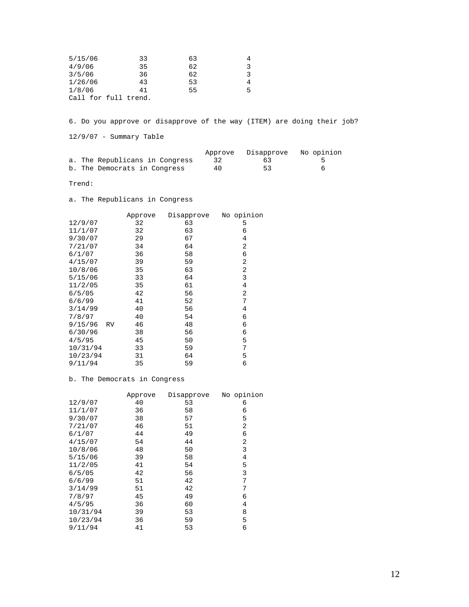| 5/15/06              | 33 | 63 |   |
|----------------------|----|----|---|
| 4/9/06               | 35 | 62 | 3 |
| 3/5/06               | 36 | 62 | ર |
| 1/26/06              | 43 | 53 | 4 |
| 1/8/06               | 41 | 55 | 5 |
| Call for full trend. |    |    |   |

6. Do you approve or disapprove of the way (ITEM) are doing their job?

12/9/07 - Summary Table

|                                |    | Approve Disapprove No opinion |  |
|--------------------------------|----|-------------------------------|--|
| a. The Republicans in Congress |    | 63                            |  |
| b. The Democrats in Congress   | 40 | 53                            |  |

Trend:

a. The Republicans in Congress

|                | Approve | Disapprove | No opinion |
|----------------|---------|------------|------------|
| 12/9/07        | 32      | 63         | 5          |
| 11/1/07        | 32      | 63         | 6          |
| 9/30/07        | 29      | 67         | 4          |
| 7/21/07        | 34      | 64         | 2          |
| 6/1/07         | 36      | 58         | 6          |
| 4/15/07        | 39      | 59         | 2          |
| 10/8/06        | 35      | 63         | 2          |
| 5/15/06        | 33      | 64         | 3          |
| 11/2/05        | 35      | 61         | 4          |
| 6/5/05         | 42      | 56         | 2          |
| 6/6/99         | 41      | 52         | 7          |
| 3/14/99        | 40      | 56         | 4          |
| 7/8/97         | 40      | 54         | 6          |
| 9/15/96<br>RV. | 46      | 48         | 6          |
| 6/30/96        | 38      | 56         | 6          |
| 4/5/95         | 45      | 50         | 5          |
| 10/31/94       | 33      | 59         | 7          |
| 10/23/94       | 31      | 64         | 5          |
| 9/11/94        | 35      | 59         | 6          |

# b. The Democrats in Congress

|          | Approve | Disapprove | No opinion |
|----------|---------|------------|------------|
| 12/9/07  | 40      | 53         | 6          |
| 11/1/07  | 36      | 58         | 6          |
| 9/30/07  | 38      | 57         | 5          |
| 7/21/07  | 46      | 51         | 2          |
| 6/1/07   | 44      | 49         | 6          |
| 4/15/07  | 54      | 44         | 2          |
| 10/8/06  | 48      | 50         | 3          |
| 5/15/06  | 39      | 58         | 4          |
| 11/2/05  | 41      | 54         | 5          |
| 6/5/05   | 42      | 56         | 3          |
| 6/6/99   | 51      | 42         | 7          |
| 3/14/99  | 51      | 42         | 7          |
| 7/8/97   | 45      | 49         | 6          |
| 4/5/95   | 36      | 60         | 4          |
| 10/31/94 | 39      | 53         | 8          |
| 10/23/94 | 36      | 59         | 5          |
| 9/11/94  | 41      | 53         | 6          |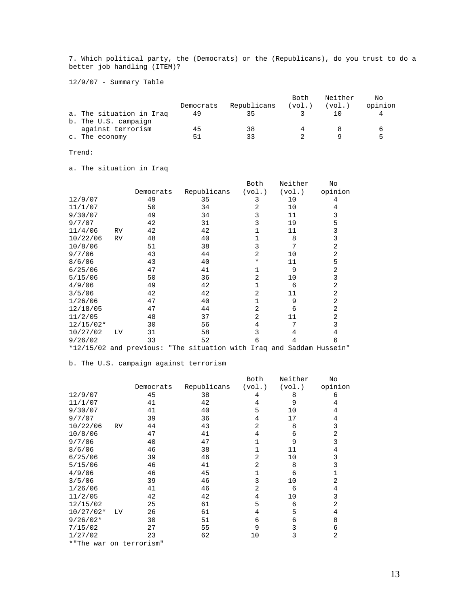7. Which political party, the (Democrats) or the (Republicans), do you trust to do a better job handling (ITEM)?

12/9/07 - Summary Table

|                          |           |             | Both   | Neither | Nο      |
|--------------------------|-----------|-------------|--------|---------|---------|
|                          | Democrats | Republicans | (vol.) | (vol.)  | opinion |
| a. The situation in Iraq | 49        | 35          |        |         |         |
| b. The U.S. campaign     |           |             |        |         |         |
| against terrorism        | 45        | 38          |        |         |         |
| c. The economy           | 51        | つつ          |        |         |         |

## Trend:

a. The situation in Iraq

|             |           |                                                                      |             | Both           | Neither | No      |
|-------------|-----------|----------------------------------------------------------------------|-------------|----------------|---------|---------|
|             |           | Democrats                                                            | Republicans | (vol.)         | (vol.)  | opinion |
| 12/9/07     |           | 49                                                                   | 35          | 3              | 10      | 4       |
| 11/1/07     |           | 50                                                                   | 34          | 2              | 10      | 4       |
| 9/30/07     |           | 49                                                                   | 34          | 3              | 11      | 3       |
| 9/7/07      |           | 42                                                                   | 31          | 3              | 19      | 5       |
| 11/4/06     | <b>RV</b> | 42                                                                   | 42          | 1              | 11      | 3       |
| 10/22/06    | RV        | 48                                                                   | 40          | 1              | 8       | 3       |
| 10/8/06     |           | 51                                                                   | 38          | 3              | 7       | 2       |
| 9/7/06      |           | 43                                                                   | 44          | 2              | 10      | 2       |
| 8/6/06      |           | 43                                                                   | 40          | ¥              | 11      | 5       |
| 6/25/06     |           | 47                                                                   | 41          | 1              | 9       | 2       |
| 5/15/06     |           | 50                                                                   | 36          | $\overline{2}$ | 10      | 3       |
| 4/9/06      |           | 49                                                                   | 42          | 1              | 6       | 2       |
| 3/5/06      |           | 42                                                                   | 42          | $\overline{2}$ | 11      | 2       |
| 1/26/06     |           | 47                                                                   | 40          | 1              | 9       | 2       |
| 12/18/05    |           | 47                                                                   | 44          | 2              | 6       | 2       |
| 11/2/05     |           | 48                                                                   | 37          | $\overline{a}$ | 11      | 2       |
| $12/15/02*$ |           | 30                                                                   | 56          | 4              | 7       | 3       |
| 10/27/02    | <b>LV</b> | 31                                                                   | 58          | 3              | 4       | 4       |
| 9/26/02     |           | 33                                                                   | 52          | 6              | 4       | 6       |
|             |           | *12/15/02 and previous: "The situation with Iraq and Saddam Hussein" |             |                |         |         |

## b. The U.S. campaign against terrorism

|                         |           |           |             | Both           | Neither | No             |
|-------------------------|-----------|-----------|-------------|----------------|---------|----------------|
|                         |           | Democrats | Republicans | (vol.)         | (vol.)  | opinion        |
| 12/9/07                 |           | 45        | 38          | 4              | 8       | 6              |
| 11/1/07                 |           | 41        | 42          | 4              | 9       | 4              |
| 9/30/07                 |           | 41        | 40          | 5              | 10      | 4              |
| 9/7/07                  |           | 39        | 36          | 4              | 17      | 4              |
| 10/22/06                | RV        | 44        | 43          | $\overline{2}$ | 8       | 3              |
| 10/8/06                 |           | 47        | 41          | 4              | 6       | 2              |
| 9/7/06                  |           | 40        | 47          | 1              | 9       | 3              |
| 8/6/06                  |           | 46        | 38          | $\mathbf{1}$   | 11      | $\overline{4}$ |
| 6/25/06                 |           | 39        | 46          | $\overline{2}$ | 10      | 3              |
| 5/15/06                 |           | 46        | 41          | 2              | 8       | 3              |
| 4/9/06                  |           | 46        | 45          | $\mathbf{1}$   | 6       | 1              |
| 3/5/06                  |           | 39        | 46          | 3              | 10      | 2              |
| 1/26/06                 |           | 41        | 46          | 2              | 6       | 4              |
| 11/2/05                 |           | 42        | 42          | 4              | 10      | 3              |
| 12/15/02                |           | 25        | 61          | 5              | 6       | 2              |
| $10/27/02*$             | <b>LV</b> | 26        | 61          | 4              | 5       | 4              |
| $9/26/02*$              |           | 30        | 51          | 6              | 6       | 8              |
| 7/15/02                 |           | 27        | 55          | 9              | 3       | 6              |
| 1/27/02                 |           | 23        | 62          | 10             | 3       | 2              |
| *"The war on terrorism" |           |           |             |                |         |                |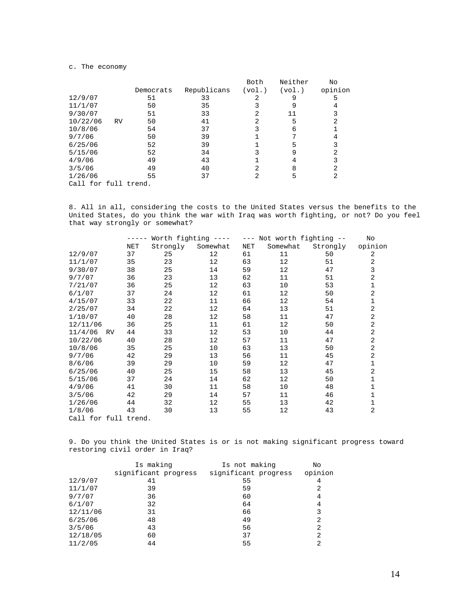#### c. The economy

|                      |           |           |             | Both   | Neither | No      |
|----------------------|-----------|-----------|-------------|--------|---------|---------|
|                      |           | Democrats | Republicans | (vol.) | (vol.)  | opinion |
| 12/9/07              |           | 51        | 33          |        | 9       | 5       |
| 11/1/07              |           | 50        | 35          |        | 9       | 4       |
| 9/30/07              |           | 51        | 33          | 2      | 11      | 3       |
| 10/22/06             | <b>RV</b> | 50        | 41          | 2      | 5       | 2       |
| 10/8/06              |           | 54        | 37          |        | 6       |         |
| 9/7/06               |           | 50        | 39          |        |         | 4       |
| 6/25/06              |           | 52        | 39          |        | 5       | 3       |
| 5/15/06              |           | 52        | 34          |        | 9       | 2       |
| 4/9/06               |           | 49        | 43          |        | 4       | 3       |
| 3/5/06               |           | 49        | 40          | 2      | 8       | 2       |
| 1/26/06              |           | 55        | 37          | 2      | 5       | 2       |
| Call for full trend. |           |           |             |        |         |         |

8. All in all, considering the costs to the United States versus the benefits to the United States, do you think the war with Iraq was worth fighting, or not? Do you feel that way strongly or somewhat?

|                      |           | ----- | Worth fighting $---$ |          |     | --- Not worth fighting -- |          | No             |
|----------------------|-----------|-------|----------------------|----------|-----|---------------------------|----------|----------------|
|                      |           | NET   | Strongly             | Somewhat | NET | Somewhat                  | Strongly | opinion        |
| 12/9/07              |           | 37    | 25                   | 12       | 61  | 11                        | 50       | 2              |
| 11/1/07              |           | 35    | 23                   | 12       | 63  | 12                        | 51       | 2              |
| 9/30/07              |           | 38    | 25                   | 14       | 59  | 12                        | 47       | 3              |
| 9/7/07               |           | 36    | 23                   | 13       | 62  | 11                        | 51       | 2              |
| 7/21/07              |           | 36    | 25                   | 12       | 63  | 10                        | 53       | 1              |
| 6/1/07               |           | 37    | 24                   | 12       | 61  | 12                        | 50       | $\overline{2}$ |
| 4/15/07              |           | 33    | 22                   | 11       | 66  | 12                        | 54       | 1              |
| 2/25/07              |           | 34    | 22                   | 12       | 64  | 13                        | 51       | $\overline{a}$ |
| 1/10/07              |           | 40    | 28                   | 12       | 58  | 11                        | 47       | 2              |
| 12/11/06             |           | 36    | 25                   | 11       | 61  | 12                        | 50       | 2              |
| 11/4/06              | <b>RV</b> | 44    | 33                   | 12       | 53  | 10                        | 44       | 2              |
| 10/22/06             |           | 40    | 28                   | 12       | 57  | 11                        | 47       | 2              |
| 10/8/06              |           | 35    | 25                   | 10       | 63  | 13                        | 50       | $\overline{a}$ |
| 9/7/06               |           | 42    | 29                   | 13       | 56  | 11                        | 45       | 2              |
| 8/6/06               |           | 39    | 29                   | 10       | 59  | 12                        | 47       | $\mathbf{1}$   |
| 6/25/06              |           | 40    | 25                   | 15       | 58  | 13                        | 45       | 2              |
| 5/15/06              |           | 37    | 24                   | 14       | 62  | 12                        | 50       | 1              |
| 4/9/06               |           | 41    | 30                   | 11       | 58  | 10                        | 48       | 1              |
| 3/5/06               |           | 42    | 29                   | 14       | 57  | 11                        | 46       | 1              |
| 1/26/06              |           | 44    | 32                   | 12       | 55  | 13                        | 42       | 1              |
| 1/8/06               |           | 43    | 30                   | 13       | 55  | 12                        | 43       | 2              |
| Call for full trend. |           |       |                      |          |     |                           |          |                |

9. Do you think the United States is or is not making significant progress toward restoring civil order in Iraq?

|          | Is making            | Is not making        | No      |
|----------|----------------------|----------------------|---------|
|          | significant progress | significant progress | opinion |
| 12/9/07  | 41                   | 55                   | 4       |
| 11/1/07  | 39                   | 59                   | 2       |
| 9/7/07   | 36                   | 60                   | 4       |
| 6/1/07   | 32                   | 64                   | 4       |
| 12/11/06 | 31                   | 66                   | 3       |
| 6/25/06  | 48                   | 49                   | 2       |
| 3/5/06   | 43                   | 56                   | 2       |
| 12/18/05 | 60                   | 37                   | 2       |
| 11/2/05  | 44                   | 55                   | 2       |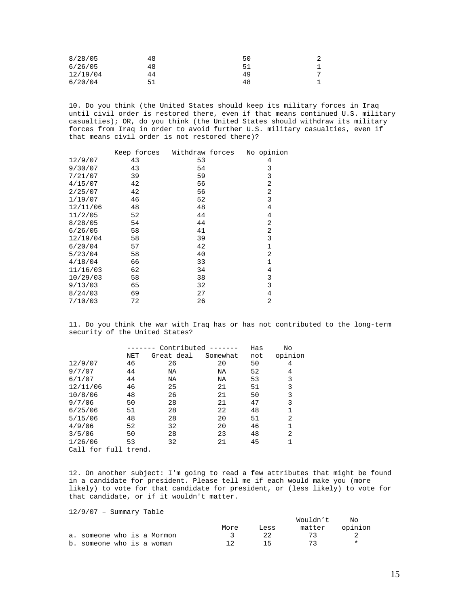| 8/28/05  | 48 | 50 | ▵ |
|----------|----|----|---|
| 6/26/05  | 48 | 51 |   |
| 12/19/04 | 44 | 49 | ⇁ |
| 6/20/04  |    | 48 |   |

10. Do you think (the United States should keep its military forces in Iraq until civil order is restored there, even if that means continued U.S. military casualties); OR, do you think (the United States should withdraw its military forces from Iraq in order to avoid further U.S. military casualties, even if that means civil order is not restored there)?

|          |    | Keep forces Withdraw forces | No opinion     |
|----------|----|-----------------------------|----------------|
| 12/9/07  | 43 | 53                          | 4              |
| 9/30/07  | 43 | 54                          | 3              |
| 7/21/07  | 39 | 59                          | 3              |
| 4/15/07  | 42 | 56                          | 2              |
| 2/25/07  | 42 | 56                          | 2              |
| 1/19/07  | 46 | 52                          | 3              |
| 12/11/06 | 48 | 48                          | 4              |
| 11/2/05  | 52 | 44                          | 4              |
| 8/28/05  | 54 | 44                          | 2              |
| 6/26/05  | 58 | 41                          | 2              |
| 12/19/04 | 58 | 39                          | 3              |
| 6/20/04  | 57 | 42                          | $\mathbf 1$    |
| 5/23/04  | 58 | 40                          | 2              |
| 4/18/04  | 66 | 33                          | 1              |
| 11/16/03 | 62 | 34                          | 4              |
| 10/29/03 | 58 | 38                          | 3              |
| 9/13/03  | 65 | 32                          | 3              |
| 8/24/03  | 69 | 27                          | 4              |
| 7/10/03  | 72 | 26                          | $\overline{2}$ |

11. Do you think the war with Iraq has or has not contributed to the long-term security of the United States?

|               |            | Contributed |          | Has | No      |
|---------------|------------|-------------|----------|-----|---------|
|               | <b>NET</b> | Great deal  | Somewhat | not | opinion |
| 12/9/07       | 46         | 26          | 20       | 50  | 4       |
| 9/7/07        | 44         | NA          | NA       | 52  | 4       |
| 6/1/07        | 44         | NA          | NA       | 53  | 3       |
| 12/11/06      | 46         | 25          | 21       | 51  | 3       |
| 10/8/06       | 48         | 26          | 21       | 50  | 3       |
| 9/7/06        | 50         | 28          | 21       | 47  | 3       |
| 6/25/06       | 51         | 28          | 22       | 48  | 1       |
| 5/15/06       | 48         | 28          | 20       | 51  | 2       |
| 4/9/06        | 52         | 32          | 20       | 46  | 1       |
| 3/5/06        | 50         | 28          | 23       | 48  | 2       |
| 1/26/06       | 53         | 32          | 21       | 45  |         |
| Call for full | trend.     |             |          |     |         |

12. On another subject: I'm going to read a few attributes that might be found in a candidate for president. Please tell me if each would make you (more likely) to vote for that candidate for president, or (less likely) to vote for that candidate, or if it wouldn't matter.

12/9/07 – Summary Table

|                            |  |  |      |      | Wouldn't       | NΩ |
|----------------------------|--|--|------|------|----------------|----|
|                            |  |  | More | Less | matter opinion |    |
| a. someone who is a Mormon |  |  |      | 22   | -72            |    |
| b. someone who is a woman  |  |  |      | 7 h  | 73             |    |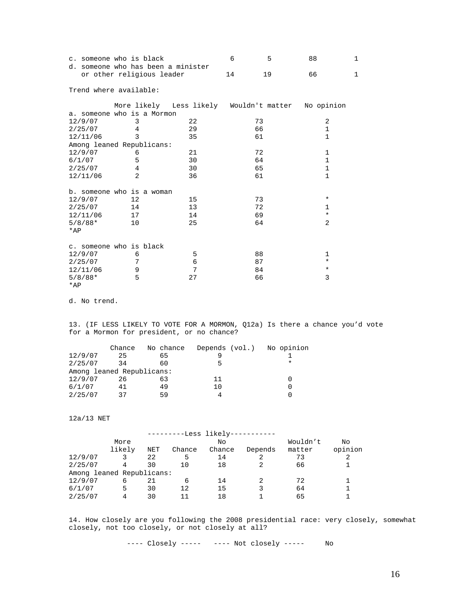|           | c. someone who is black                                         |    | 6  | 5  | 88           | 1 |
|-----------|-----------------------------------------------------------------|----|----|----|--------------|---|
|           | d. someone who has been a minister<br>or other religious leader |    | 14 | 19 | 66           | 1 |
|           | Trend where available:                                          |    |    |    |              |   |
|           | More likely Less likely Wouldn't matter No opinion              |    |    |    |              |   |
|           | a. someone who is a Mormon                                      |    |    |    |              |   |
| 12/9/07   | 3                                                               | 22 |    | 73 | 2            |   |
| 2/25/07   | 4                                                               | 29 |    | 66 | $\mathbf{1}$ |   |
| 12/11/06  | 3                                                               | 35 |    | 61 | $\mathbf{1}$ |   |
|           | Among leaned Republicans:                                       |    |    |    |              |   |
| 12/9/07   | 6                                                               | 21 |    | 72 | $\mathbf{1}$ |   |
| 6/1/07    | 5                                                               | 30 |    | 64 | $\mathbf{1}$ |   |
| 2/25/07   | 4                                                               | 30 |    | 65 | $\mathbf{1}$ |   |
| 12/11/06  | $\overline{a}$                                                  | 36 |    | 61 | $\mathbf{1}$ |   |
|           | b. someone who is a woman                                       |    |    |    |              |   |
| 12/9/07   | 12                                                              | 15 |    | 73 | $\ast$       |   |
| 2/25/07   | 14                                                              | 13 |    | 72 | $\mathbf{1}$ |   |
| 12/11/06  | 17                                                              | 14 |    | 69 | $\star$      |   |
| $5/8/88*$ | 10                                                              | 25 |    | 64 | 2            |   |
| $*AP$     |                                                                 |    |    |    |              |   |
|           | c. someone who is black                                         |    |    |    |              |   |
| 12/9/07   | 6                                                               | 5  |    | 88 | 1            |   |
| 2/25/07   | 7                                                               | 6  |    | 87 | $^\star$     |   |
| 12/11/06  | 9                                                               | 7  |    | 84 | $\star$      |   |
| $5/8/88*$ | 5                                                               | 27 |    | 66 | 3            |   |
| $*AP$     |                                                                 |    |    |    |              |   |

d. No trend.

13. (IF LESS LIKELY TO VOTE FOR A MORMON, Q12a) Is there a chance you'd vote for a Mormon for president, or no chance?

|                           | Chance | No chance | Depends (vol.) No opinion |        |
|---------------------------|--------|-----------|---------------------------|--------|
| 12/9/07                   | 25     | 65        |                           |        |
| 2/25/07                   | 34     | 60        | հ                         | $\ast$ |
| Among leaned Republicans: |        |           |                           |        |
| 12/9/07                   | 26     | 63        | 11                        |        |
| 6/1/07                    | 41     | 49        | 10                        |        |
| 2/25/07                   | 37     | 59        |                           |        |

12a/13 NET

|                           | More   |     |        | Νo     |         | Wouldn't | No      |
|---------------------------|--------|-----|--------|--------|---------|----------|---------|
|                           | likely | NET | Chance | Chance | Depends | matter   | opinion |
| 12/9/07                   |        | 22  | 5      | 14     |         | 73       |         |
| 2/25/07                   |        | 30  | 10     | 18     |         | 66       |         |
| Among leaned Republicans: |        |     |        |        |         |          |         |
| 12/9/07                   | 6      | 21  | 6      | 14     |         | 72       |         |
| 6/1/07                    | 5      | 30  | 12     | 15     |         | 64       |         |
| 2/25/07                   | 4      | 30  |        | 18     |         | 65       |         |

14. How closely are you following the 2008 presidential race: very closely, somewhat closely, not too closely, or not closely at all?

---- Closely ----- ---- Not closely ----- No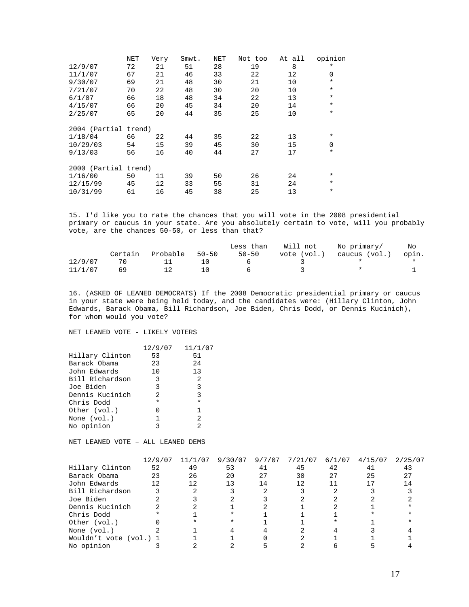|                      | NET | Very | Smwt. | <b>NET</b> | Not too | At all | opinion     |
|----------------------|-----|------|-------|------------|---------|--------|-------------|
| 12/9/07              | 72  | 21   | 51    | 28         | 19      | 8      | $^\star$    |
| 11/1/07              | 67  | 21   | 46    | 33         | 22      | 12     | 0           |
| 9/30/07              | 69  | 21   | 48    | 30         | 21      | 10     | $\star$     |
| 7/21/07              | 70  | 22   | 48    | 30         | 20      | 10     | $\ast$      |
| 6/1/07               | 66  | 18   | 48    | 34         | 22      | 13     | $\ast$      |
| 4/15/07              | 66  | 20   | 45    | 34         | 20      | 14     | $\star$     |
| 2/25/07              | 65  | 20   | 44    | 35         | 25      | 10     | $\ast$      |
|                      |     |      |       |            |         |        |             |
| 2004 (Partial trend) |     |      |       |            |         |        |             |
| 1/18/04              | 66  | 22   | 44    | 35         | 22      | 13     | $\ast$      |
| 10/29/03             | 54  | 15   | 39    | 45         | 30      | 15     | $\mathbf 0$ |
| 9/13/03              | 56  | 16   | 40    | 44         | 27      | 17     | $\star$     |
|                      |     |      |       |            |         |        |             |
| 2000 (Partial trend) |     |      |       |            |         |        |             |
| 1/16/00              | 50  | 11   | 39    | 50         | 26      | 24     | $^\star$    |
| 12/15/99             | 45  | 12   | 33    | 55         | 31      | 24     | $\star$     |
| 10/31/99             | 61  | 16   | 45    | 38         | 25      | 13     | $\star$     |

15. I'd like you to rate the chances that you will vote in the 2008 presidential primary or caucus in your state. Are you absolutely certain to vote, will you probably vote, are the chances 50-50, or less than that?

|         |         |          |           | Less than | Will not    | No primarv/   | Νo    |
|---------|---------|----------|-----------|-----------|-------------|---------------|-------|
|         | Certain | Probable | $50 - 50$ | $50 - 50$ | vote (vol.) | caucus (vol.) | opin. |
| 12/9/07 | 70      | $\pm 1$  | า ก       |           |             |               |       |
| 11/1/07 | 69      |          | 1 O       |           |             |               |       |

16. (ASKED OF LEANED DEMOCRATS) If the 2008 Democratic presidential primary or caucus in your state were being held today, and the candidates were: (Hillary Clinton, John Edwards, Barack Obama, Bill Richardson, Joe Biden, Chris Dodd, or Dennis Kucinich), for whom would you vote?

NET LEANED VOTE - LIKELY VOTERS

|                 | 12/9/07        | 11/1/07       |
|-----------------|----------------|---------------|
| Hillary Clinton | 53             | 51            |
| Barack Obama    | 23             | 24            |
| John Edwards    | 10             | 13            |
| Bill Richardson | 3              | -2            |
| Joe Biden       | 3              | 3             |
| Dennis Kucinich | $\mathfrak{D}$ | 3             |
| Chris Dodd      | $\ast$         | $\star$       |
| Other (vol.)    | U              | 1             |
| None (vol.)     | 1              | 2             |
| No opinion      | ς              | $\mathcal{D}$ |

NET LEANED VOTE – ALL LEANED DEMS

|                        | 12/9/07 | 11/1/07 | 9/30/07 | 9/7/07 | 7/21/07 | 6/1/07 | 4/15/07 | 2/25/07 |
|------------------------|---------|---------|---------|--------|---------|--------|---------|---------|
| Hillary Clinton        | 52      | 49      | 53      | 41     | 45      | 42     | 41      | 43      |
| Barack Obama           | 23      | 26      | 20      | 27     | 30      | 27     | 25      | 27      |
| John Edwards           | 12      | 12      | 13      | 14     | 12      |        |         | 14      |
| Bill Richardson        |         |         |         |        |         |        |         |         |
| Joe Biden              |         |         |         |        |         |        |         |         |
| Dennis Kucinich        |         |         |         |        |         |        |         |         |
| Chris Dodd             |         |         |         |        |         |        |         |         |
| Other (vol.)           |         |         |         |        |         |        |         |         |
| None (vol.)            |         |         |         |        |         |        |         |         |
| Wouldn't vote (vol.) 1 |         |         |         |        |         |        |         |         |
| No opinion             |         |         |         |        |         |        |         |         |
|                        |         |         |         |        |         |        |         |         |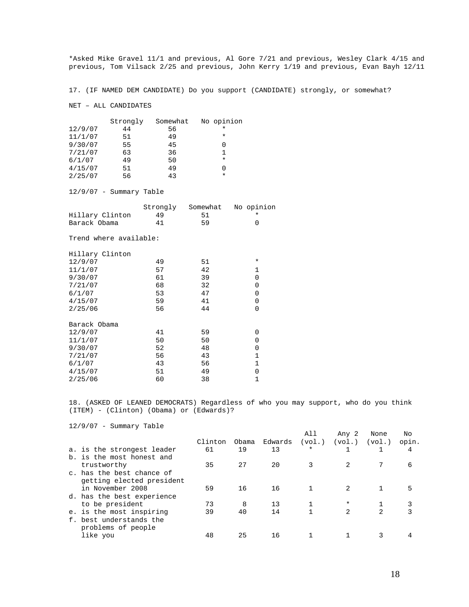\*Asked Mike Gravel 11/1 and previous, Al Gore 7/21 and previous, Wesley Clark 4/15 and previous, Tom Vilsack 2/25 and previous, John Kerry 1/19 and previous, Evan Bayh 12/11

17. (IF NAMED DEM CANDIDATE) Do you support (CANDIDATE) strongly, or somewhat?

NET – ALL CANDIDATES

|         | Strongly | Somewhat | No opinion       |
|---------|----------|----------|------------------|
| 12/9/07 | 44       | 56       | $^\star$         |
| 11/1/07 | 51       | 49       | $\star$          |
| 9/30/07 | 55       | 45       |                  |
| 7/21/07 | 63       | 36       |                  |
| 6/1/07  | 49       | 50       | $^\star$         |
| 4/15/07 | 51       | 49       | $\left( \right)$ |
| 2/25/07 | 56       | 43       | $\star$          |

12/9/07 - Summary Table

|                 | Strongly | Somewhat | No opinion |
|-----------------|----------|----------|------------|
| Hillary Clinton | 49       | -51      |            |
| Barack Obama    | 41       | 59       |            |

Trend where available:

| Hillary Clinton |    |    |              |
|-----------------|----|----|--------------|
| 12/9/07         | 49 | 51 | $\ast$       |
| 11/1/07         | 57 | 42 | $\mathbf{1}$ |
| 9/30/07         | 61 | 39 | 0            |
| 7/21/07         | 68 | 32 | 0            |
| 6/1/07          | 53 | 47 | 0            |
| 4/15/07         | 59 | 41 | 0            |
| 2/25/06         | 56 | 44 | 0            |
|                 |    |    |              |
| Barack Obama    |    |    |              |
| 12/9/07         | 41 | 59 | 0            |
| 11/1/07         | 50 | 50 | 0            |
| 9/30/07         | 52 | 48 | 0            |
| 7/21/07         | 56 | 43 | $\mathbf 1$  |
| 6/1/07          | 43 | 56 | $\mathbf 1$  |
| 4/15/07         | 51 | 49 | 0            |
| 2/25/06         | 60 | 38 | $\mathbf{1}$ |
|                 |    |    |              |

18. (ASKED OF LEANED DEMOCRATS) Regardless of who you may support, who do you think (ITEM) - (Clinton) (Obama) or (Edwards)?

12/9/07 - Summary Table

|                            |         |       |         | All     | Any 2          | None           | No    |  |
|----------------------------|---------|-------|---------|---------|----------------|----------------|-------|--|
|                            | Clinton | Obama | Edwards | (vol.)  | (vol.)         | (vol.)         | opin. |  |
| a. is the strongest leader | 61      | 19    | 13      | $\star$ |                |                | 4     |  |
| b. is the most honest and  |         |       |         |         |                |                |       |  |
| trustworthy                | 35      | 27    | 20      |         |                |                | 6     |  |
| c, has the best chance of  |         |       |         |         |                |                |       |  |
| getting elected president  |         |       |         |         |                |                |       |  |
| in November 2008           | 59      | 16    | 16      |         |                |                |       |  |
| d. has the best experience |         |       |         |         |                |                |       |  |
| to be president            | 73      | 8     | 13      |         | $\ast$         |                |       |  |
| e. is the most inspiring   | 39      | 40    | 14      |         | $\mathfrak{D}$ | $\mathfrak{D}$ | 3     |  |
| f. best understands the    |         |       |         |         |                |                |       |  |
| problems of people         |         |       |         |         |                |                |       |  |
| like you                   | 48      | 25    | 16      |         |                |                |       |  |
|                            |         |       |         |         |                |                |       |  |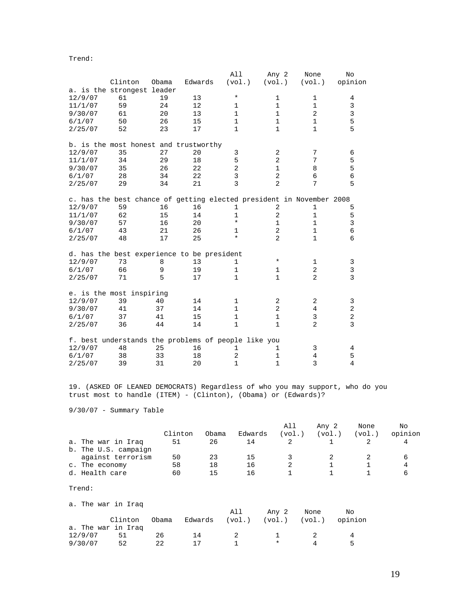Trend:

|         |                            |       |                                                                      | All            | Any 2          | None           | No             |
|---------|----------------------------|-------|----------------------------------------------------------------------|----------------|----------------|----------------|----------------|
|         | Clinton                    | Obama | Edwards                                                              | (vol.)         | (vol.)         | (vol.)         | opinion        |
|         | a. is the strongest leader |       |                                                                      |                |                |                |                |
| 12/9/07 | 61                         | 19    | 13                                                                   | $^\star$       | $\mathbf 1$    | 1              | 4              |
| 11/1/07 | 59                         | 24    | 12                                                                   | $\mathbf{1}$   | $\mathbf 1$    | $\mathbf 1$    | 3              |
| 9/30/07 | 61                         | 20    | 13                                                                   | $\mathbf{1}$   | $\mathbf{1}$   | $\overline{2}$ | $\mathsf{3}$   |
| 6/1/07  | 50                         | 26    | 15                                                                   | $\mathbf{1}$   | $\mathbf{1}$   | 1              | 5              |
| 2/25/07 | 52                         | 23    | 17                                                                   | $\mathbf{1}$   | $\mathbf{1}$   | $\mathbf{1}$   | 5              |
|         |                            |       | b. is the most honest and trustworthy                                |                |                |                |                |
| 12/9/07 | 35                         | 27    | 20                                                                   | 3              | $\overline{a}$ | 7              | 6              |
| 11/1/07 | 34                         | 29    | 18                                                                   | 5              | $\overline{2}$ | 7              | 5              |
| 9/30/07 | 35                         | 26    | 22                                                                   | $\overline{2}$ | $\mathbf 1$    | 8              | 5              |
| 6/1/07  | 28                         | 34    | 22                                                                   | 3              | $\overline{a}$ | 6              | 6              |
| 2/25/07 | 29                         | 34    | 21                                                                   | $\overline{3}$ | $\overline{2}$ | 7              | 5              |
|         |                            |       | c. has the best chance of getting elected president in November 2008 |                |                |                |                |
| 12/9/07 | 59                         | 16    | 16                                                                   | 1              | $\overline{2}$ | 1              | 5              |
| 11/1/07 | 62                         | 15    | 14                                                                   | $\mathbf{1}$   | $\overline{2}$ | $\mathbf{1}$   | 5              |
| 9/30/07 | 57                         | 16    | 20                                                                   | $^\star$       | $\mathbf{1}$   | $\mathbf 1$    | $\overline{3}$ |
| 6/1/07  | 43                         | 21    | 26                                                                   | $\mathbf{1}$   | $\overline{2}$ | $\mathbf{1}$   | $\epsilon$     |
| 2/25/07 | 48                         | 17    | 25                                                                   | $\star$        | $\overline{2}$ | $\mathbf{1}$   | 6              |
|         |                            |       | d. has the best experience to be president                           |                |                |                |                |
| 12/9/07 | 73                         | 8     | 13                                                                   | $\mathbf{1}$   | *              | 1              | 3              |
| 6/1/07  | 66                         | 9     | 19                                                                   | $\mathbf{1}$   | $\mathbf 1$    | $\overline{c}$ | $\overline{3}$ |
| 2/25/07 | 71                         | 5     | 17                                                                   | $\mathbf{1}$   | $\mathbf{1}$   | $\overline{2}$ | 3              |
|         | e. is the most inspiring   |       |                                                                      |                |                |                |                |
| 12/9/07 | 39                         | 40    | 14                                                                   | $\mathbf{1}$   | 2              | 2              | 3              |
| 9/30/07 | 41                         | 37    | 14                                                                   | $\mathbf{1}$   | $\overline{2}$ | 4              | $\overline{2}$ |
| 6/1/07  | 37                         | 41    | 15                                                                   | $\mathbf{1}$   | $\mathbf{1}$   | 3              | $\overline{a}$ |
| 2/25/07 | 36                         | 44    | 14                                                                   | $\mathbf{1}$   | $\mathbf{1}$   | 2              | 3              |
|         |                            |       | f. best understands the problems of people like you                  |                |                |                |                |
| 12/9/07 | 48                         | 25    | 16                                                                   | $\mathbf{1}$   | $\mathbf 1$    | 3              | 4              |
| 6/1/07  | 38                         | 33    | 18                                                                   | $\overline{2}$ | $\mathbf 1$    | 4              | 5              |
| 2/25/07 | 39                         | 31    | 20                                                                   | $\mathbf{1}$   | $\mathbf{1}$   | 3              | $\overline{4}$ |

19. (ASKED OF LEANED DEMOCRATS) Regardless of who you may support, who do you trust most to handle (ITEM) - (Clinton), (Obama) or (Edwards)?

9/30/07 - Summary Table

|                      |         |       |         | All    | Any 2  | None   | No      |
|----------------------|---------|-------|---------|--------|--------|--------|---------|
|                      | Clinton | Obama | Edwards | (vol.) | (vol.) | (vol.) | opinion |
| a. The war in Iraq   | -51     | 26    | 14      |        |        |        |         |
| b. The U.S. campaign |         |       |         |        |        |        |         |
| against terrorism    | 50      | 23    | 15      |        |        |        |         |
| c. The economy       | 58      | 18    | 16      |        |        |        | 4       |
| d. Health care       | 60      | 15    | 16      |        |        |        |         |

#### Trend:

a. The war in Iraq

|         |                    |       |         | All    | Anv 2  | None   | Νo      |
|---------|--------------------|-------|---------|--------|--------|--------|---------|
|         | Clinton            | Obama | Edwards | (vol.) | (vol.) | (vol.) | opinion |
|         | a. The war in Iraq |       |         |        |        |        |         |
| 12/9/07 | -51                | 26    | 14      |        |        |        |         |
| 9/30/07 | 52                 | 22    |         |        |        |        | ᄃ       |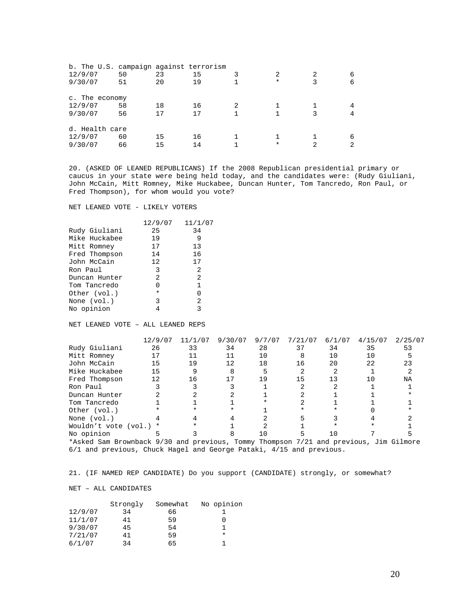| b. The U.S. campaign against terrorism |    |    |    |   |   |   |
|----------------------------------------|----|----|----|---|---|---|
| 12/9/07                                | 50 | 23 | 15 |   |   | 6 |
| 9/30/07                                | 51 | 20 | 19 | * | 3 | 6 |
| c. The economy                         |    |    |    |   |   |   |
| 12/9/07                                | 58 | 18 | 16 |   |   |   |
| 9/30/07                                | 56 | 17 | 17 |   | 3 |   |
| d. Health care                         |    |    |    |   |   |   |
| 12/9/07                                | 60 | 15 | 16 |   |   | 6 |
| 9/30/07                                | 66 | 15 | 14 | * | 2 |   |

20. (ASKED OF LEANED REPUBLICANS) If the 2008 Republican presidential primary or caucus in your state were being held today, and the candidates were: (Rudy Giuliani, John McCain, Mitt Romney, Mike Huckabee, Duncan Hunter, Tom Tancredo, Ron Paul, or Fred Thompson), for whom would you vote?

NET LEANED VOTE - LIKELY VOTERS

| 12/9/07 | 11/1/07 |
|---------|---------|
| 25      | 34      |
| 19      | 9       |
| 17      | 13      |
| 14      | 16      |
| 12      | 17      |
| 3       | 2       |
| 2       | 2       |
| U       | 1       |
| $\ast$  | O       |
| 3       | 2       |
|         | 3       |
|         |         |

NET LEANED VOTE – ALL LEANED REPS

|                                                                                                                      | 12/9/07 | 11/1/07 | 9/30/07 | 9/7/07 | 7/21/07 | 6/1/07 | 4/15/07 | 2/25/07 |
|----------------------------------------------------------------------------------------------------------------------|---------|---------|---------|--------|---------|--------|---------|---------|
| Rudy Giuliani                                                                                                        | 26      | 33      | 34      | 28     | 37      | 34     | 35      | 53      |
| Mitt Romney                                                                                                          | 17      |         | 11      | 10     | Я       | 10     | 10      |         |
| John McCain                                                                                                          | 15      | 19      | 12      | 18     | 16      | 20     | 22      | 23      |
| Mike Huckabee                                                                                                        | 15      |         |         |        |         |        |         |         |
| Fred Thompson                                                                                                        | 12      | 16      | 17      | 19     | 15      | 13     |         | NA      |
| Ron Paul                                                                                                             |         |         |         |        |         |        |         |         |
| Duncan Hunter                                                                                                        |         |         |         |        |         |        |         |         |
| Tom Tancredo                                                                                                         |         |         |         |        |         |        |         |         |
| Other (vol.)                                                                                                         |         |         |         |        |         |        |         |         |
| None (vol.)                                                                                                          |         |         |         |        |         |        |         |         |
| Wouldn't vote (vol.)                                                                                                 | $\ast$  |         |         |        |         |        |         |         |
| No opinion                                                                                                           |         |         |         |        |         |        |         |         |
| *Asked Sam Brownback 9/30 and previous, Tommy Thompson 7/21 and previous, Jim Gilmore<br>$\sim$ $\sim$ $\sim$ $\sim$ |         |         |         |        |         |        |         |         |

6/1 and previous, Chuck Hagel and George Pataki, 4/15 and previous.

21. (IF NAMED REP CANDIDATE) Do you support (CANDIDATE) strongly, or somewhat?

#### NET – ALL CANDIDATES

|         | Strongly | Somewhat | No opinion |
|---------|----------|----------|------------|
| 12/9/07 | 34       | 66       |            |
| 11/1/07 | 41       | 59       |            |
| 9/30/07 | 45       | 54       |            |
| 7/21/07 | 41       | 59       | $\star$    |
| 6/1/07  | 34       | 65       |            |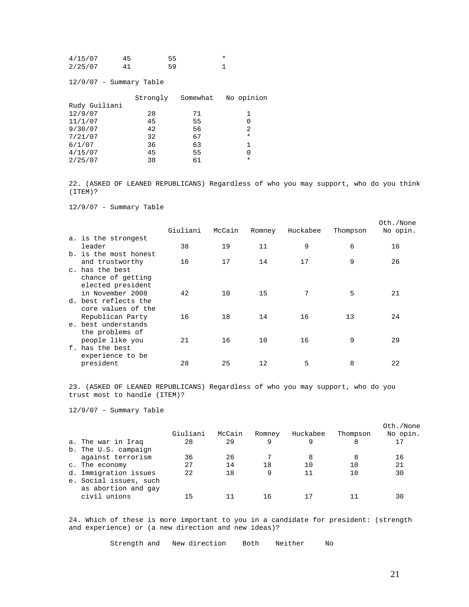| 4/15/07 | 45 | 55 |  |
|---------|----|----|--|
| 2/25/07 | 41 | 59 |  |

12/9/07 - Summary Table

|               | Strongly | Somewhat | No opinion |
|---------------|----------|----------|------------|
| Rudy Guiliani |          |          |            |
| 12/9/07       | 28       | 71       |            |
| 11/1/07       | 45       | 55       | 0          |
| 9/30/07       | 42       | 56       | 2          |
| 7/21/07       | 32       | 67       | $\ast$     |
| 6/1/07        | 36       | 63       |            |
| 4/15/07       | 45       | 55       | 0          |
| 2/25/07       | 38       | 61       | $\ast$     |

22. (ASKED OF LEANED REPUBLICANS) Regardless of who you may support, who do you think (ITEM)?

12/9/07 - Summary Table

|                       | Giuliani | McCain | Romney | Huckabee | Thompson | Oth./None<br>No opin. |
|-----------------------|----------|--------|--------|----------|----------|-----------------------|
| a. is the strongest   |          |        |        |          |          |                       |
| leader                | 38       | 19     | 11     | 9        | 6        | 16                    |
| b. is the most honest |          |        |        |          |          |                       |
| and trustworthy       | 16       | 17     | 14     | 17       | 9        | 26                    |
| c. has the best       |          |        |        |          |          |                       |
| chance of getting     |          |        |        |          |          |                       |
| elected president     |          |        |        |          |          |                       |
| in November 2008      | 42       | 10     | 15     | 7        | 5        | 21                    |
| d. best reflects the  |          |        |        |          |          |                       |
| core values of the    |          |        |        |          |          |                       |
| Republican Party      | 16       | 18     | 14     | 16       | 13       | 24                    |
| e, best understands   |          |        |        |          |          |                       |
| the problems of       |          |        |        |          |          |                       |
| people like you       | 21       | 16     | 10     | 16       | 9        | 29                    |
| f, has the best       |          |        |        |          |          |                       |
| experience to be      |          |        |        |          |          |                       |
| president             | 28       | 25     | 12     | 5        | 8        | 22                    |
|                       |          |        |        |          |          |                       |

23. (ASKED OF LEANED REPUBLICANS) Regardless of who you may support, who do you trust most to handle (ITEM)?

12/9/07 – Summary Table

|                                               | Giuliani | McCain | Romney | Huckabee | Thompson | Oth./None<br>No opin. |
|-----------------------------------------------|----------|--------|--------|----------|----------|-----------------------|
| a. The war in Iraq                            | 28       | 29     | 9      |          | 8        | 17                    |
| b. The U.S. campaign                          |          |        |        |          |          |                       |
| against terrorism                             | 36       | 26     |        |          | 8        | 16                    |
| c. The economy                                | 27       | 14     | 18     | 10       | 10       | 21                    |
| d. Immigration issues                         | 22       | 18     | 9      | 11       | 10       | 30                    |
| e. Social issues, such<br>as abortion and gay |          |        |        |          |          |                       |
| civil unions                                  | 15       |        | 16     |          |          | 30                    |

24. Which of these is more important to you in a candidate for president: (strength and experience) or (a new direction and new ideas)?

Strength and New direction Both Neither No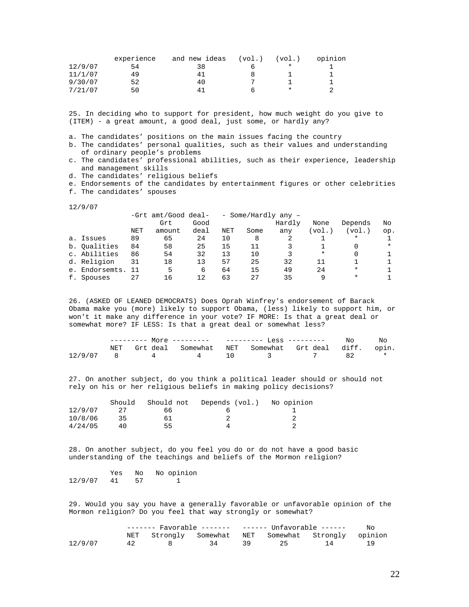|         | experience | and new ideas | (vol.) | (vol.)  | opinion |
|---------|------------|---------------|--------|---------|---------|
| 12/9/07 | 54         | 38            |        | $\star$ |         |
| 11/1/07 | 49         | 41            |        |         |         |
| 9/30/07 | 52         | 40            |        |         |         |
| 7/21/07 | 50         | 41            |        | *       |         |

25. In deciding who to support for president, how much weight do you give to (ITEM) - a great amount, a good deal, just some, or hardly any?

a. The candidates' positions on the main issues facing the country

- b. The candidates' personal qualities, such as their values and understanding of ordinary people's problems
- c. The candidates' professional abilities, such as their experience, leadership and management skills
- d. The candidates' religious beliefs
- e. Endorsements of the candidates by entertainment figures or other celebrities f. The candidates' spouses

12/9/07

|    |                |            | -Grt amt/Good deal- |      | - Some/Hardly any - |      |        |        |          |          |
|----|----------------|------------|---------------------|------|---------------------|------|--------|--------|----------|----------|
|    |                |            | Grt                 | Good |                     |      | Hardly | None   | Depends  | No       |
|    |                | <b>NET</b> | amount              | deal | <b>NET</b>          | Some | any    | (vol.) | (vol.)   | op.      |
|    | a. Issues      | 89         | 65                  | 24   | 10                  | 8    |        |        | $^\star$ |          |
|    | b. Qualities   | 84         | 58                  | 25   | 15                  | 11   |        |        |          | $^\star$ |
|    | c. Abilities   | 86         | 54                  | 32   | 13                  | 10   |        | $\ast$ |          |          |
|    | d. Religion    | 31         | 18                  | 13   | 57                  | 25   | 32     | 11     |          |          |
|    | e. Endorsemts. | - 11       | 5                   | 6    | 64                  | 15   | 49     | 2.4    | $\ast$   |          |
| f. | Spouses        | 27         | 16                  | 12   | 63                  | 27   | 35     | 9      | $^\star$ |          |

26. (ASKED OF LEANED DEMOCRATS) Does Oprah Winfrey's endorsement of Barack Obama make you (more) likely to support Obama, (less) likely to support him, or won't it make any difference in your vote? IF MORE: Is that a great deal or somewhat more? IF LESS: Is that a great deal or somewhat less?

|  |  |  |                                                         | Nο      |
|--|--|--|---------------------------------------------------------|---------|
|  |  |  | NET Grt deal Somewhat NET Somewhat Grt deal diff. opin. |         |
|  |  |  | $12/9/07$ 8 4 4 10 3 7 82                               | $\star$ |

27. On another subject, do you think a political leader should or should not rely on his or her religious beliefs in making policy decisions?

|         | Should | Should not | Depends (vol.) | No opinion |
|---------|--------|------------|----------------|------------|
| 12/9/07 |        | 66         |                |            |
| 10/8/06 | 35     | 61         |                |            |
| 4/24/05 | 4 N    | 55         |                |            |

28. On another subject, do you feel you do or do not have a good basic understanding of the teachings and beliefs of the Mormon religion?

Yes No No opinion<br>41 57 1 12/9/07 41 57 1

29. Would you say you have a generally favorable or unfavorable opinion of the Mormon religion? Do you feel that way strongly or somewhat?

|         |    |              |    | ------- Favorable -------   ------ Unfavorable ------ |  |                                                     | No. |
|---------|----|--------------|----|-------------------------------------------------------|--|-----------------------------------------------------|-----|
|         |    |              |    |                                                       |  | NET Strongly Somewhat NET Somewhat Strongly opinion |     |
| 12/9/07 | 42 | $\mathbf{R}$ | 34 | 29                                                    |  | $\overline{14}$                                     |     |